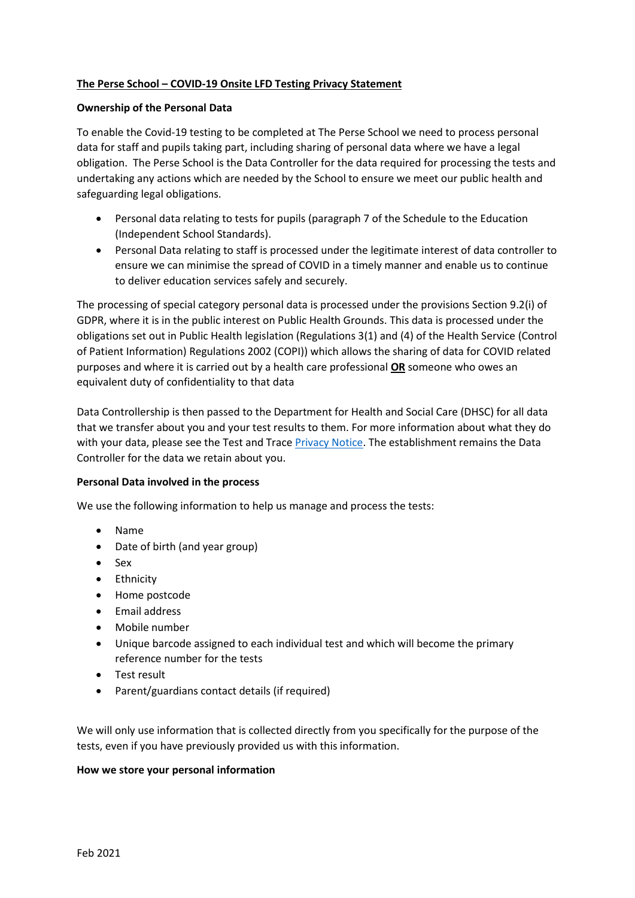# **The Perse School – COVID-19 Onsite LFD Testing Privacy Statement**

## **Ownership of the Personal Data**

To enable the Covid-19 testing to be completed at The Perse School we need to process personal data for staff and pupils taking part, including sharing of personal data where we have a legal obligation. The Perse School is the Data Controller for the data required for processing the tests and undertaking any actions which are needed by the School to ensure we meet our public health and safeguarding legal obligations.

- Personal data relating to tests for pupils (paragraph 7 of the Schedule to the Education (Independent School Standards).
- Personal Data relating to staff is processed under the legitimate interest of data controller to ensure we can minimise the spread of COVID in a timely manner and enable us to continue to deliver education services safely and securely.

The processing of special category personal data is processed under the provisions Section 9.2(i) of GDPR, where it is in the public interest on Public Health Grounds. This data is processed under the obligations set out in Public Health legislation (Regulations 3(1) and (4) of the Health Service (Control of Patient Information) Regulations 2002 (COPI)) which allows the sharing of data for COVID related purposes and where it is carried out by a health care professional **OR** someone who owes an equivalent duty of confidentiality to that data

Data Controllership is then passed to the Department for Health and Social Care (DHSC) for all data that we transfer about you and your test results to them. For more information about what they do with your data, please see the Test and Trac[e Privacy Notice.](https://contact-tracing.phe.gov.uk/help/privacy-notice) The establishment remains the Data Controller for the data we retain about you.

## **Personal Data involved in the process**

We use the following information to help us manage and process the tests:

- Name
- Date of birth (and year group)
- Sex
- Ethnicity
- Home postcode
- Email address
- Mobile number
- Unique barcode assigned to each individual test and which will become the primary reference number for the tests
- Test result
- Parent/guardians contact details (if required)

We will only use information that is collected directly from you specifically for the purpose of the tests, even if you have previously provided us with this information.

## **How we store your personal information**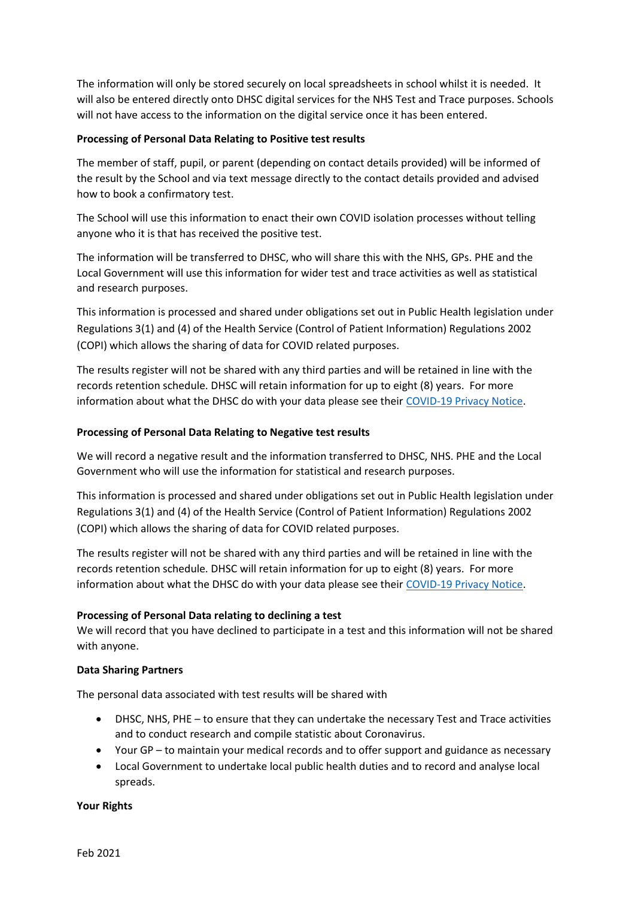The information will only be stored securely on local spreadsheets in school whilst it is needed. It will also be entered directly onto DHSC digital services for the NHS Test and Trace purposes. Schools will not have access to the information on the digital service once it has been entered.

## **Processing of Personal Data Relating to Positive test results**

The member of staff, pupil, or parent (depending on contact details provided) will be informed of the result by the School and via text message directly to the contact details provided and advised how to book a confirmatory test.

The School will use this information to enact their own COVID isolation processes without telling anyone who it is that has received the positive test.

The information will be transferred to DHSC, who will share this with the NHS, GPs. PHE and the Local Government will use this information for wider test and trace activities as well as statistical and research purposes.

This information is processed and shared under obligations set out in Public Health legislation under Regulations 3(1) and (4) of the Health Service (Control of Patient Information) Regulations 2002 (COPI) which allows the sharing of data for COVID related purposes.

The results register will not be shared with any third parties and will be retained in line with the records retention schedule. DHSC will retain information for up to eight (8) years. For more information about what the DHSC do with your data please see thei[r COVID-19 Privacy Notice.](https://www.gov.uk/government/publications/coronavirus-covid-19-testing-privacy-information)

## **Processing of Personal Data Relating to Negative test results**

We will record a negative result and the information transferred to DHSC, NHS. PHE and the Local Government who will use the information for statistical and research purposes.

This information is processed and shared under obligations set out in Public Health legislation under Regulations 3(1) and (4) of the Health Service (Control of Patient Information) Regulations 2002 (COPI) which allows the sharing of data for COVID related purposes.

The results register will not be shared with any third parties and will be retained in line with the records retention schedule. DHSC will retain information for up to eight (8) years. For more information about what the DHSC do with your data please see thei[r COVID-19 Privacy Notice.](https://www.gov.uk/government/publications/coronavirus-covid-19-testing-privacy-information)

# **Processing of Personal Data relating to declining a test**

We will record that you have declined to participate in a test and this information will not be shared with anyone.

## **Data Sharing Partners**

The personal data associated with test results will be shared with

- DHSC, NHS, PHE to ensure that they can undertake the necessary Test and Trace activities and to conduct research and compile statistic about Coronavirus.
- Your GP to maintain your medical records and to offer support and guidance as necessary
- Local Government to undertake local public health duties and to record and analyse local spreads.

## **Your Rights**